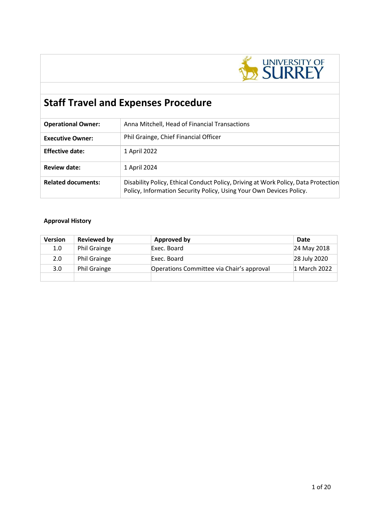

# **Staff Travel and Expenses Procedure**

| <b>Operational Owner:</b> | Anna Mitchell, Head of Financial Transactions                                                                                                             |
|---------------------------|-----------------------------------------------------------------------------------------------------------------------------------------------------------|
| <b>Executive Owner:</b>   | Phil Grainge, Chief Financial Officer                                                                                                                     |
| <b>Effective date:</b>    | 1 April 2022                                                                                                                                              |
| <b>Review date:</b>       | 1 April 2024                                                                                                                                              |
| <b>Related documents:</b> | Disability Policy, Ethical Conduct Policy, Driving at Work Policy, Data Protection<br>Policy, Information Security Policy, Using Your Own Devices Policy. |

# **Approval History**

| <b>Version</b>   | Reviewed by         | Approved by                               | Date         |
|------------------|---------------------|-------------------------------------------|--------------|
| 1.0              | <b>Phil Grainge</b> | Exec. Board                               | 24 May 2018  |
| 2.0              | <b>Phil Grainge</b> | Exec. Board                               | 28 July 2020 |
| 3.0 <sub>2</sub> | <b>Phil Grainge</b> | Operations Committee via Chair's approval | 1 March 2022 |
|                  |                     |                                           |              |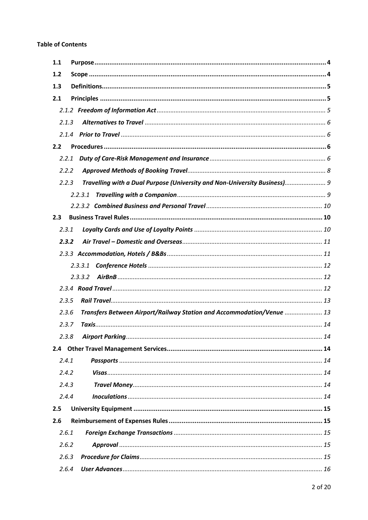| 1.1   |                                                                           |
|-------|---------------------------------------------------------------------------|
| 1.2   |                                                                           |
| 1.3   |                                                                           |
| 2.1   |                                                                           |
|       |                                                                           |
| 2.1.3 |                                                                           |
|       |                                                                           |
| 2.2   |                                                                           |
| 2.2.1 |                                                                           |
| 2.2.2 |                                                                           |
| 2.2.3 | Travelling with a Dual Purpose (University and Non-University Business) 9 |
|       | 2.2.3.1                                                                   |
|       |                                                                           |
| 2.3   |                                                                           |
| 2.3.1 |                                                                           |
| 2.3.2 |                                                                           |
|       |                                                                           |
|       | 2.3.3.1                                                                   |
|       | 2.3.3.2                                                                   |
|       |                                                                           |
| 2.3.5 |                                                                           |
| 2.3.6 | Transfers Between Airport/Railway Station and Accommodation/Venue  13     |
| 2.3.7 |                                                                           |
| 2.3.8 |                                                                           |
|       |                                                                           |
| 2.4.1 |                                                                           |
| 2.4.2 |                                                                           |
| 2.4.3 |                                                                           |
| 2.4.4 |                                                                           |
| 2.5   |                                                                           |
| 2.6   |                                                                           |
| 2.6.1 |                                                                           |
| 2.6.2 |                                                                           |
| 2.6.3 |                                                                           |
| 2.6.4 |                                                                           |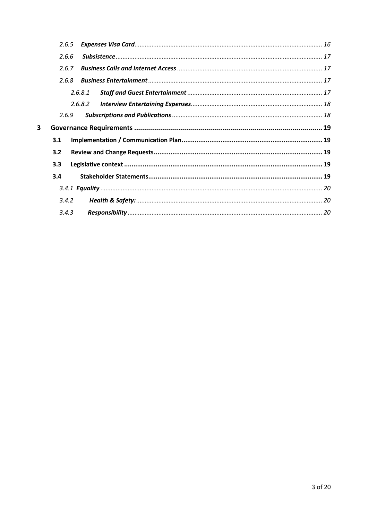|   | 2.6.5 |         |  |
|---|-------|---------|--|
|   | 2.6.6 |         |  |
|   | 2.6.7 |         |  |
|   | 2.6.8 |         |  |
|   |       | 2.6.8.1 |  |
|   |       | 2.6.8.2 |  |
|   | 2.6.9 |         |  |
| 3 |       |         |  |
|   | 3.1   |         |  |
|   | 3.2   |         |  |
|   | 3.3   |         |  |
|   | 3.4   |         |  |
|   |       |         |  |
|   | 3.4.2 |         |  |
|   | 3.4.3 |         |  |
|   |       |         |  |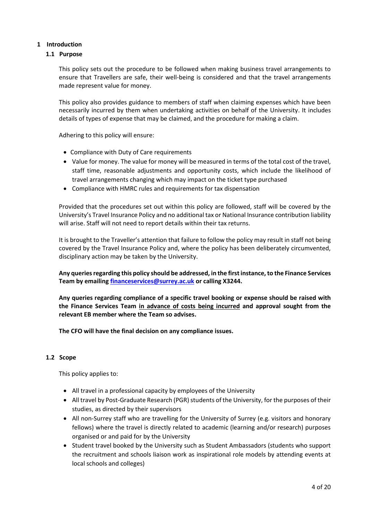# <span id="page-3-0"></span>**1 Introduction**

# **1.1 Purpose**

This policy sets out the procedure to be followed when making business travel arrangements to ensure that Travellers are safe, their well-being is considered and that the travel arrangements made represent value for money.

This policy also provides guidance to members of staff when claiming expenses which have been necessarily incurred by them when undertaking activities on behalf of the University. It includes details of types of expense that may be claimed, and the procedure for making a claim.

Adhering to this policy will ensure:

- Compliance with Duty of Care requirements
- Value for money. The value for money will be measured in terms of the total cost of the travel, staff time, reasonable adjustments and opportunity costs, which include the likelihood of travel arrangements changing which may impact on the ticket type purchased
- Compliance with HMRC rules and requirements for tax dispensation

Provided that the procedures set out within this policy are followed, staff will be covered by the University's Travel Insurance Policy and no additional tax or National Insurance contribution liability will arise. Staff will not need to report details within their tax returns.

It is brought to the Traveller's attention that failure to follow the policy may result in staff not being covered by the Travel Insurance Policy and, where the policy has been deliberately circumvented, disciplinary action may be taken by the University.

**Any queries regarding this policy should be addressed, in the first instance, to the Finance Services Team by emailin[g financeservices@surrey.ac.uk](mailto:financeservices@surrey.ac.uk) or calling X3244.**

**Any queries regarding compliance of a specific travel booking or expense should be raised with the Finance Services Team in advance of costs being incurred and approval sought from the relevant EB member where the Team so advises.**

**The CFO will have the final decision on any compliance issues.**

# <span id="page-3-1"></span>**1.2 Scope**

This policy applies to:

- All travel in a professional capacity by employees of the University
- All travel by Post-Graduate Research (PGR) students of the University, for the purposes of their studies, as directed by their supervisors
- All non-Surrey staff who are travelling for the University of Surrey (e.g. visitors and honorary fellows) where the travel is directly related to academic (learning and/or research) purposes organised or and paid for by the University
- Student travel booked by the University such as Student Ambassadors (students who support the recruitment and schools liaison work as inspirational role models by attending events at local schools and colleges)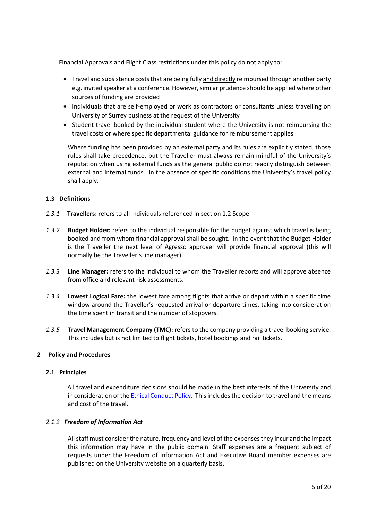Financial Approvals and Flight Class restrictions under this policy do not apply to:

- Travel and subsistence costs that are being fully and directly reimbursed through another party e.g. invited speaker at a conference. However, similar prudence should be applied where other sources of funding are provided
- Individuals that are self-employed or work as contractors or consultants unless travelling on University of Surrey business at the request of the University
- Student travel booked by the individual student where the University is not reimbursing the travel costs or where specific departmental guidance for reimbursement applies

Where funding has been provided by an external party and its rules are explicitly stated, those rules shall take precedence, but the Traveller must always remain mindful of the University's reputation when using external funds as the general public do not readily distinguish between external and internal funds. In the absence of specific conditions the University's travel policy shall apply.

# <span id="page-4-0"></span>**1.3 Definitions**

- *1.3.1* **Travellers:** refers to all individuals referenced in section 1.2 Scope
- *1.3.2* **Budget Holder:** refers to the individual responsible for the budget against which travel is being booked and from whom financial approval shall be sought. In the event that the Budget Holder is the Traveller the next level of Agresso approver will provide financial approval (this will normally be the Traveller's line manager).
- *1.3.3* **Line Manager:** refers to the individual to whom the Traveller reports and will approve absence from office and relevant risk assessments.
- *1.3.4* **Lowest Logical Fare:** the lowest fare among flights that arrive or depart within a specific time window around the Traveller's requested arrival or departure times, taking into consideration the time spent in transit and the number of stopovers.
- *1.3.5* **Travel Management Company (TMC):** refers to the company providing a travel booking service. This includes but is not limited to flight tickets, hotel bookings and rail tickets.

# **2 Policy and Procedures**

# <span id="page-4-1"></span>**2.1 Principles**

 All travel and expenditure decisions should be made in the best interests of the University and in consideration of th[e Ethical Conduct Policy.](https://www.surrey.ac.uk/sites/default/files/2019-12/ethical-conduct-policy.pdf) This includes the decision to travel and the means and cost of the travel.

# <span id="page-4-2"></span>*2.1.2 Freedom of Information Act*

All staff must consider the nature, frequency and level of the expenses they incur and the impact this information may have in the public domain. Staff expenses are a frequent subject of requests under the Freedom of Information Act and Executive Board member expenses are published on the University website on a quarterly basis.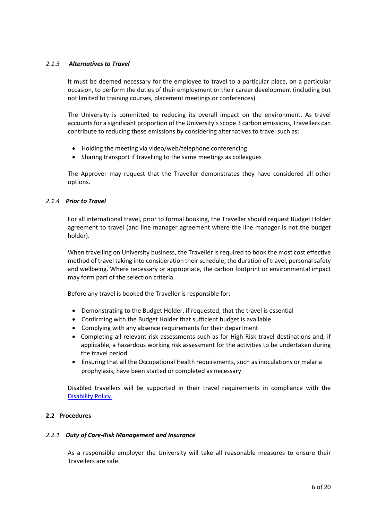# <span id="page-5-0"></span>*2.1.3 Alternatives to Travel*

It must be deemed necessary for the employee to travel to a particular place, on a particular occasion, to perform the duties of their employment or their career development (including but not limited to training courses, placement meetings or conferences).

The University is committed to reducing its overall impact on the environment. As travel accounts for a significant proportion of the University's scope 3 carbon emissions, Travellers can contribute to reducing these emissions by considering alternatives to travel such as:

- Holding the meeting via video/web/telephone conferencing
- Sharing transport if travelling to the same meetings as colleagues

The Approver may request that the Traveller demonstrates they have considered all other options.

# <span id="page-5-1"></span>*2.1.4 Prior to Travel*

For all international travel, prior to formal booking, the Traveller should request Budget Holder agreement to travel (and line manager agreement where the line manager is not the budget holder).

When travelling on University business, the Traveller is required to book the most cost effective method of travel taking into consideration their schedule, the duration of travel, personal safety and wellbeing. Where necessary or appropriate, the carbon footprint or environmental impact may form part of the selection criteria.

Before any travel is booked the Traveller is responsible for:

- Demonstrating to the Budget Holder, if requested, that the travel is essential
- Confirming with the Budget Holder that sufficient budget is available
- Complying with any absence requirements for their department
- Completing all relevant risk assessments such as for High Risk travel destinations and, if applicable, a hazardous working risk assessment for the activities to be undertaken during the travel period
- Ensuring that all the Occupational Health requirements, such as inoculations or malaria prophylaxis, have been started or completed as necessary

Disabled travellers will be supported in their travel requirements in compliance with the [Disability Policy.](https://www.surrey.ac.uk/sites/default/files/disability-policy.pdf)

# <span id="page-5-2"></span>**2.2 Procedures**

# <span id="page-5-3"></span>*2.2.1 Duty of Care-Risk Management and Insurance*

As a responsible employer the University will take all reasonable measures to ensure their Travellers are safe.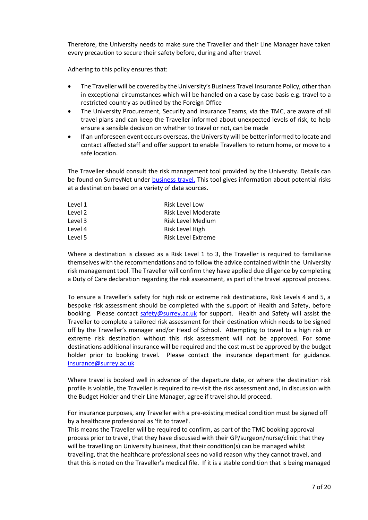Therefore, the University needs to make sure the Traveller and their Line Manager have taken every precaution to secure their safety before, during and after travel.

Adhering to this policy ensures that:

- The Traveller will be covered by the University's Business Travel Insurance Policy, other than in exceptional circumstances which will be handled on a case by case basis e.g. travel to a restricted country as outlined by the Foreign Office
- The University Procurement, Security and Insurance Teams, via the TMC, are aware of all travel plans and can keep the Traveller informed about unexpected levels of risk, to help ensure a sensible decision on whether to travel or not, can be made
- If an unforeseen event occurs overseas, the University will be better informed to locate and contact affected staff and offer support to enable Travellers to return home, or move to a safe location.

The Traveller should consult the risk management tool provided by the University. Details can be found on SurreyNet under [business travel.](https://surreynet.surrey.ac.uk/staff-services/business-travel/travel-insurance-health-and-safety-brexit-advice) This tool gives information about potential risks at a destination based on a variety of data sources.

| Level 1 | <b>Risk Level Low</b>      |
|---------|----------------------------|
| Level 2 | <b>Risk Level Moderate</b> |
| Level 3 | Risk Level Medium          |
| Level 4 | Risk Level High            |
| Level 5 | Risk Level Extreme         |

Where a destination is classed as a Risk Level 1 to 3, the Traveller is required to familiarise themselves with the recommendations and to follow the advice contained within the University risk management tool. The Traveller will confirm they have applied due diligence by completing a Duty of Care declaration regarding the risk assessment, as part of the travel approval process.

To ensure a Traveller's safety for high risk or extreme risk destinations, Risk Levels 4 and 5, a bespoke risk assessment should be completed with the support of Health and Safety, before booking. Please contact [safety@surrey.ac.uk](mailto:safety@surrey.ac.uk) for support. Health and Safety will assist the Traveller to complete a tailored risk assessment for their destination which needs to be signed off by the Traveller's manager and/or Head of School. Attempting to travel to a high risk or extreme risk destination without this risk assessment will not be approved. For some destinations additional insurance will be required and the cost must be approved by the budget holder prior to booking travel. Please contact the insurance department for guidance. [insurance@surrey.ac.uk](mailto:insurance@surrey.ac.uk)

Where travel is booked well in advance of the departure date, or where the destination risk profile is volatile, the Traveller is required to re-visit the risk assessment and, in discussion with the Budget Holder and their Line Manager, agree if travel should proceed.

For insurance purposes, any Traveller with a pre-existing medical condition must be signed off by a healthcare professional as 'fit to travel'.

This means the Traveller will be required to confirm, as part of the TMC booking approval process prior to travel, that they have discussed with their GP/surgeon/nurse/clinic that they will be travelling on University business, that their condition(s) can be managed whilst travelling, that the healthcare professional sees no valid reason why they cannot travel, and that this is noted on the Traveller's medical file. If it is a stable condition that is being managed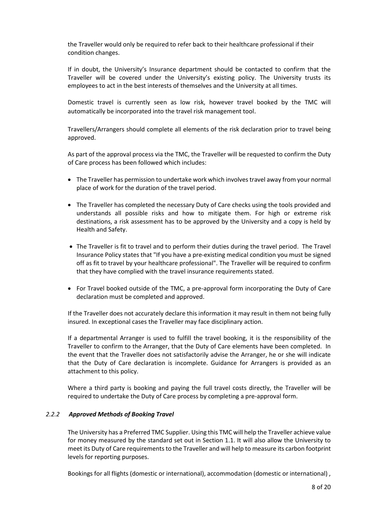the Traveller would only be required to refer back to their healthcare professional if their condition changes.

If in doubt, the University's Insurance department should be contacted to confirm that the Traveller will be covered under the University's existing policy. The University trusts its employees to act in the best interests of themselves and the University at all times.

Domestic travel is currently seen as low risk, however travel booked by the TMC will automatically be incorporated into the travel risk management tool.

Travellers/Arrangers should complete all elements of the risk declaration prior to travel being approved.

As part of the approval process via the TMC, the Traveller will be requested to confirm the Duty of Care process has been followed which includes:

- The Traveller has permission to undertake work which involves travel away from your normal place of work for the duration of the travel period.
- The Traveller has completed the necessary Duty of Care checks using the tools provided and understands all possible risks and how to mitigate them. For high or extreme risk destinations, a risk assessment has to be approved by the University and a copy is held by Health and Safety.
- The Traveller is fit to travel and to perform their duties during the travel period. The Travel Insurance Policy states that "If you have a pre-existing medical condition you must be signed off as fit to travel by your healthcare professional". The Traveller will be required to confirm that they have complied with the travel insurance requirements stated.
- For Travel booked outside of the TMC, a pre-approval form incorporating the Duty of Care declaration must be completed and approved.

If the Traveller does not accurately declare this information it may result in them not being fully insured. In exceptional cases the Traveller may face disciplinary action.

If a departmental Arranger is used to fulfill the travel booking, it is the responsibility of the Traveller to confirm to the Arranger, that the Duty of Care elements have been completed. In the event that the Traveller does not satisfactorily advise the Arranger, he or she will indicate that the Duty of Care declaration is incomplete. Guidance for Arrangers is provided as an attachment to this policy.

Where a third party is booking and paying the full travel costs directly, the Traveller will be required to undertake the Duty of Care process by completing a pre-approval form.

# <span id="page-7-0"></span>*2.2.2 Approved Methods of Booking Travel*

The University has a Preferred TMC Supplier. Using this TMC will help the Traveller achieve value for money measured by the standard set out in Section 1.1. It will also allow the University to meet its Duty of Care requirements to the Traveller and will help to measure its carbon footprint levels for reporting purposes.

Bookings for all flights (domestic or international), accommodation (domestic or international) ,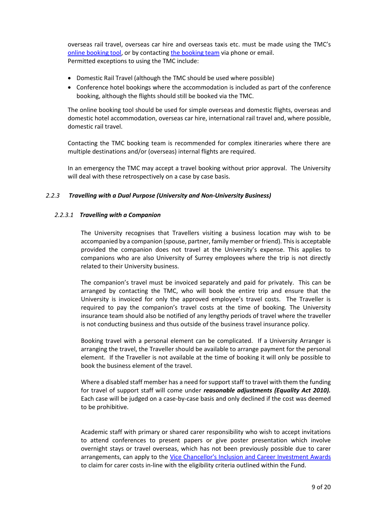overseas rail travel, overseas car hire and overseas taxis etc. must be made using the TMC's [online booking tool,](https://www.go2book.travel/js/clarity/current/#/logon) or by contactin[g the booking team](https://surreynet.surrey.ac.uk/staff-services/business-travel/booking-travel-accommodation) via phone or email. Permitted exceptions to using the TMC include:

- Domestic Rail Travel (although the TMC should be used where possible)
- Conference hotel bookings where the accommodation is included as part of the conference booking, although the flights should still be booked via the TMC.

The online booking tool should be used for simple overseas and domestic flights, overseas and domestic hotel accommodation, overseas car hire, international rail travel and, where possible, domestic rail travel.

Contacting the TMC booking team is recommended for complex itineraries where there are multiple destinations and/or (overseas) internal flights are required.

In an emergency the TMC may accept a travel booking without prior approval. The University will deal with these retrospectively on a case by case basis.

# <span id="page-8-0"></span>*2.2.3 Travelling with a Dual Purpose (University and Non-University Business)*

# <span id="page-8-1"></span>*2.2.3.1 Travelling with a Companion*

The University recognises that Travellers visiting a business location may wish to be accompanied by a companion (spouse, partner, family member or friend). This is acceptable provided the companion does not travel at the University's expense. This applies to companions who are also University of Surrey employees where the trip is not directly related to their University business.

The companion's travel must be invoiced separately and paid for privately. This can be arranged by contacting the TMC, who will book the entire trip and ensure that the University is invoiced for only the approved employee's travel costs. The Traveller is required to pay the companion's travel costs at the time of booking. The University insurance team should also be notified of any lengthy periods of travel where the traveller is not conducting business and thus outside of the business travel insurance policy.

Booking travel with a personal element can be complicated. If a University Arranger is arranging the travel, the Traveller should be available to arrange payment for the personal element. If the Traveller is not available at the time of booking it will only be possible to book the business element of the travel.

Where a disabled staff member has a need for support staff to travel with them the funding for travel of support staff will come under *reasonable adjustments (Equality Act 2010).*  Each case will be judged on a case-by-case basis and only declined if the cost was deemed to be prohibitive.

Academic staff with primary or shared carer responsibility who wish to accept invitations to attend conferences to present papers or give poster presentation which involve overnight stays or travel overseas, which has not been previously possible due to carer arrangements, can apply to the [Vice Chancellor's Inclusion and Career Investment Awards](https://surreynet.surrey.ac.uk/vice-chancellors-inclusion-and-career-investment-awards) to claim for carer costs in-line with the eligibility criteria outlined within the Fund.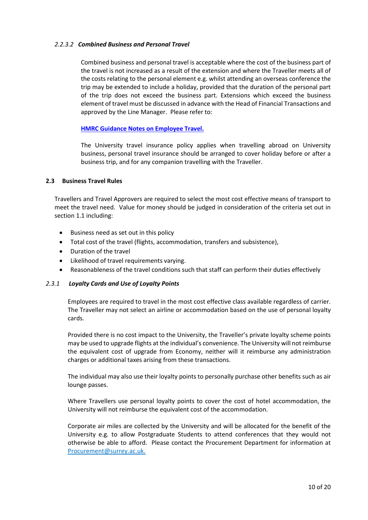# <span id="page-9-0"></span>*2.2.3.2 Combined Business and Personal Travel*

Combined business and personal travel is acceptable where the cost of the business part of the travel is not increased as a result of the extension and where the Traveller meets all of the costs relating to the personal element e.g. whilst attending an overseas conference the trip may be extended to include a holiday, provided that the duration of the personal part of the trip does not exceed the business part. Extensions which exceed the business element of travel must be discussed in advance with the Head of Financial Transactions and approved by the Line Manager. Please refer to:

# **[HMRC Guidance Notes on Employee Travel.](https://www.gov.uk/government/publications/490-employee-travel-a-tax-and-nics-guide)**

The University travel insurance policy applies when travelling abroad on University business, personal travel insurance should be arranged to cover holiday before or after a business trip, and for any companion travelling with the Traveller.

# <span id="page-9-1"></span>**2.3 Business Travel Rules**

Travellers and Travel Approvers are required to select the most cost effective means of transport to meet the travel need. Value for money should be judged in consideration of the criteria set out in section 1.1 including:

- Business need as set out in this policy
- Total cost of the travel (flights, accommodation, transfers and subsistence),
- Duration of the travel
- Likelihood of travel requirements varying.
- Reasonableness of the travel conditions such that staff can perform their duties effectively

# <span id="page-9-2"></span>*2.3.1 Loyalty Cards and Use of Loyalty Points*

Employees are required to travel in the most cost effective class available regardless of carrier. The Traveller may not select an airline or accommodation based on the use of personal loyalty cards.

Provided there is no cost impact to the University, the Traveller's private loyalty scheme points may be used to upgrade flights at the individual's convenience. The University will not reimburse the equivalent cost of upgrade from Economy, neither will it reimburse any administration charges or additional taxes arising from these transactions.

The individual may also use their loyalty points to personally purchase other benefits such as air lounge passes.

Where Travellers use personal loyalty points to cover the cost of hotel accommodation, the University will not reimburse the equivalent cost of the accommodation.

<span id="page-9-3"></span>Corporate air miles are collected by the University and will be allocated for the benefit of the University e.g. to allow Postgraduate Students to attend conferences that they would not otherwise be able to afford. Please contact the Procurement Department for information at Procurement@surrey.ac.uk.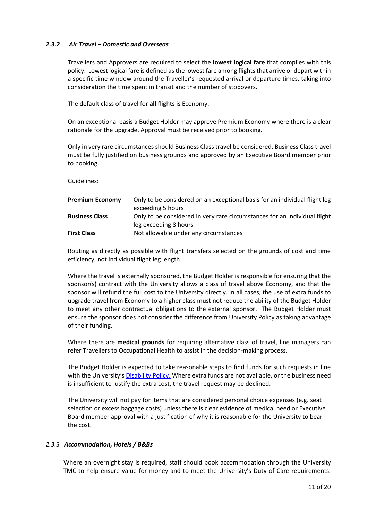# *2.3.2 Air Travel – Domestic and Overseas*

Travellers and Approvers are required to select the **lowest logical fare** that complies with this policy. Lowest logical fare is defined as the lowest fare among flights that arrive or depart within a specific time window around the Traveller's requested arrival or departure times, taking into consideration the time spent in transit and the number of stopovers.

The default class of travel for **all** flights is Economy.

On an exceptional basis a Budget Holder may approve Premium Economy where there is a clear rationale for the upgrade. Approval must be received prior to booking.

Only in very rare circumstances should Business Class travel be considered. Business Class travel must be fully justified on business grounds and approved by an Executive Board member prior to booking.

Guidelines:

| <b>Premium Economy</b> | Only to be considered on an exceptional basis for an individual flight leg<br>exceeding 5 hours    |
|------------------------|----------------------------------------------------------------------------------------------------|
| <b>Business Class</b>  | Only to be considered in very rare circumstances for an individual flight<br>leg exceeding 8 hours |
| <b>First Class</b>     | Not allowable under any circumstances                                                              |

Routing as directly as possible with flight transfers selected on the grounds of cost and time efficiency, not individual flight leg length

Where the travel is externally sponsored, the Budget Holder is responsible for ensuring that the sponsor(s) contract with the University allows a class of travel above Economy, and that the sponsor will refund the full cost to the University directly. In all cases, the use of extra funds to upgrade travel from Economy to a higher class must not reduce the ability of the Budget Holder to meet any other contractual obligations to the external sponsor. The Budget Holder must ensure the sponsor does not consider the difference from University Policy as taking advantage of their funding.

Where there are **medical grounds** for requiring alternative class of travel, line managers can refer Travellers to Occupational Health to assist in the decision-making process.

The Budget Holder is expected to take reasonable steps to find funds for such requests in line with the University's [Disability Policy.](https://portal.surrey.ac.uk/https/www.surrey.ac.uk/sites/default/files/disability-policy.pdf) Where extra funds are not available, or the business need is insufficient to justify the extra cost, the travel request may be declined.

The University will not pay for items that are considered personal choice expenses (e.g. seat selection or excess baggage costs) unless there is clear evidence of medical need or Executive Board member approval with a justification of why it is reasonable for the University to bear the cost.

# <span id="page-10-0"></span>*2.3.3 Accommodation, Hotels / B&Bs*

Where an overnight stay is required, staff should book accommodation through the University TMC to help ensure value for money and to meet the University's Duty of Care requirements.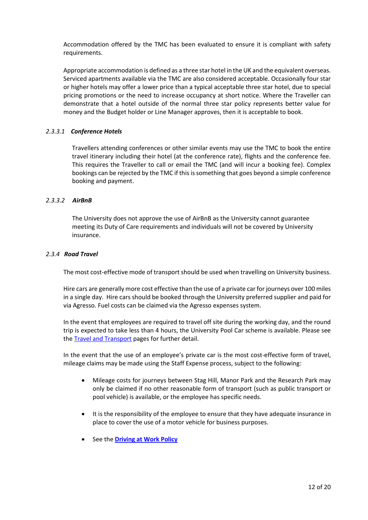Accommodation offered by the TMC has been evaluated to ensure it is compliant with safety requirements.

Appropriate accommodation is defined as a three star hotel in the UK and the equivalent overseas. Serviced apartments available via the TMC are also considered acceptable. Occasionally four star or higher hotels may offer a lower price than a typical acceptable three star hotel, due to special pricing promotions or the need to increase occupancy at short notice. Where the Traveller can demonstrate that a hotel outside of the normal three star policy represents better value for money and the Budget holder or Line Manager approves, then it is acceptable to book.

# <span id="page-11-0"></span>*2.3.3.1 Conference Hotels*

Travellers attending conferences or other similar events may use the TMC to book the entire travel itinerary including their hotel (at the conference rate), flights and the conference fee. This requires the Traveller to call or email the TMC (and will incur a booking fee). Complex bookings can be rejected by the TMC if this is something that goes beyond a simple conference booking and payment.

# <span id="page-11-1"></span>*2.3.3.2 AirBnB*

The University does not approve the use of AirBnB as the University cannot guarantee meeting its Duty of Care requirements and individuals will not be covered by University insurance.

# <span id="page-11-2"></span>*2.3.4 Road Travel*

The most cost-effective mode of transport should be used when travelling on University business.

Hire cars are generally more cost effective than the use of a private car for journeys over 100 miles in a single day. Hire cars should be booked through the University preferred supplier and paid for via Agresso. Fuel costs can be claimed via the Agresso expenses system.

In the event that employees are required to travel off site during the working day, and the round trip is expected to take less than 4 hours, the University Pool Car scheme is available. Please see the **Travel and Transport** pages for further detail.

In the event that the use of an employee's private car is the most cost-effective form of travel, mileage claims may be made using the Staff Expense process, subject to the following:

- Mileage costs for journeys between Stag Hill, Manor Park and the Research Park may only be claimed if no other reasonable form of transport (such as public transport or pool vehicle) is available, or the employee has specific needs.
- It is the responsibility of the employee to ensure that they have adequate insurance in place to cover the use of a motor vehicle for business purposes.
- See the **[Driving at Work Policy](http://www.surrey.ac.uk/about/our-policies)**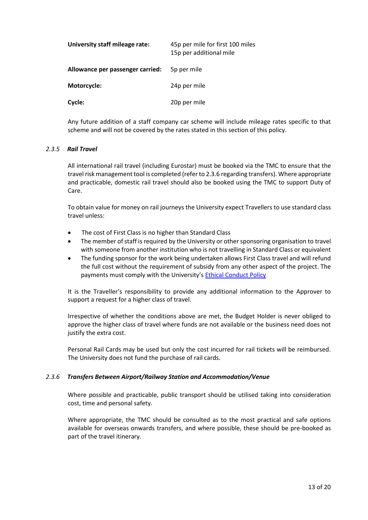| University staff mileage rate:   | 45p per mile for first 100 miles<br>15p per additional mile |
|----------------------------------|-------------------------------------------------------------|
| Allowance per passenger carried: | 5p per mile                                                 |
| Motorcycle:                      | 24p per mile                                                |
| Cycle:                           | 20p per mile                                                |

Any future addition of a staff company car scheme will include mileage rates specific to that scheme and will not be covered by the rates stated in this section of this policy.

# <span id="page-12-0"></span>*2.3.5 Rail Travel*

All international rail travel (including Eurostar) must be booked via the TMC to ensure that the travel risk management tool is completed (refer to 2.3.6 regarding transfers). Where appropriate and practicable, domestic rail travel should also be booked using the TMC to support Duty of Care.

To obtain value for money on rail journeys the University expect Travellers to use standard class travel unless:

- The cost of First Class is no higher than Standard Class
- The member of staff is required by the University or other sponsoring organisation to travel with someone from another institution who is not travelling in Standard Class or equivalent
- The funding sponsor for the work being undertaken allows First Class travel and will refund the full cost without the requirement of subsidy from any other aspect of the project. The payments must comply with the University's [Ethical Conduct Policy](https://www.surrey.ac.uk/sites/default/files/Ethical%20Conduct%20Policy.pdf)

It is the Traveller's responsibility to provide any additional information to the Approver to support a request for a higher class of travel.

Irrespective of whether the conditions above are met, the Budget Holder is never obliged to approve the higher class of travel where funds are not available or the business need does not justify the extra cost.

Personal Rail Cards may be used but only the cost incurred for rail tickets will be reimbursed. The University does not fund the purchase of rail cards.

# <span id="page-12-1"></span>*2.3.6 Transfers Between Airport/Railway Station and Accommodation/Venue*

Where possible and practicable, public transport should be utilised taking into consideration cost, time and personal safety.

<span id="page-12-2"></span>Where appropriate, the TMC should be consulted as to the most practical and safe options available for overseas onwards transfers, and where possible, these should be pre-booked as part of the travel itinerary.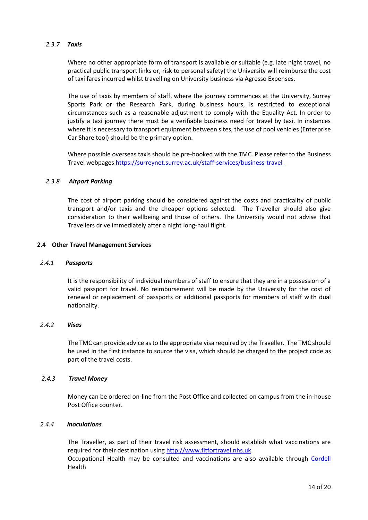# *2.3.7 Taxis*

Where no other appropriate form of transport is available or suitable (e.g. late night travel, no practical public transport links or, risk to personal safety) the University will reimburse the cost of taxi fares incurred whilst travelling on University business via Agresso Expenses.

The use of taxis by members of staff, where the journey commences at the University, Surrey Sports Park or the Research Park, during business hours, is restricted to exceptional circumstances such as a reasonable adjustment to comply with the Equality Act. In order to justify a taxi journey there must be a verifiable business need for travel by taxi. In instances where it is necessary to transport equipment between sites, the use of pool vehicles (Enterprise Car Share tool) should be the primary option.

Where possible overseas taxis should be pre-booked with the TMC. Please refer to the Business Travel webpages<https://surreynet.surrey.ac.uk/staff-services/business-travel>

#### <span id="page-13-0"></span>*2.3.8 Airport Parking*

The cost of airport parking should be considered against the costs and practicality of public transport and/or taxis and the cheaper options selected. The Traveller should also give consideration to their wellbeing and those of others. The University would not advise that Travellers drive immediately after a night long-haul flight.

#### <span id="page-13-1"></span>**2.4 Other Travel Management Services**

#### <span id="page-13-2"></span> *2.4.1 Passports*

It is the responsibility of individual members of staff to ensure that they are in a possession of a valid passport for travel. No reimbursement will be made by the University for the cost of renewal or replacement of passports or additional passports for members of staff with dual nationality.

#### <span id="page-13-3"></span> *2.4.2 Visas*

The TMC can provide advice as to the appropriate visa required by the Traveller. The TMC should be used in the first instance to source the visa, which should be charged to the project code as part of the travel costs.

#### <span id="page-13-4"></span>*2.4.3 Travel Money*

Money can be ordered on-line from the Post Office and collected on campus from the in-house Post Office counter.

#### <span id="page-13-5"></span> *2.4.4 Inoculations*

The Traveller, as part of their travel risk assessment, should establish what vaccinations are required for their destination using [http://www.fitfortravel.nhs.uk.](http://www.fitfortravel.nhs.uk/) Occupational Health may be consulted and vaccinations are also available through [Cordell](https://portal.surrey.ac.uk/https/cordellhealth.co.uk/) Health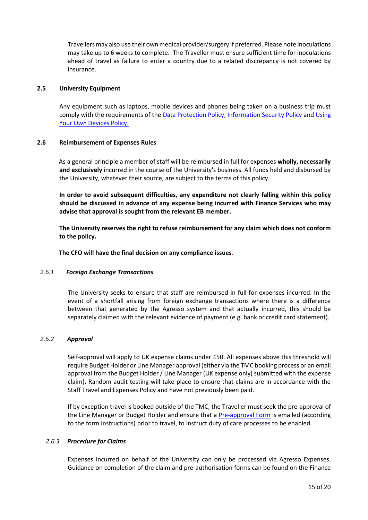Travellers may also use their own medical provider/surgery if preferred. Please note inoculations may take up to 6 weeks to complete. The Traveller must ensure sufficient time for inoculations ahead of travel as failure to enter a country due to a related discrepancy is not covered by insurance.

### <span id="page-14-0"></span>**2.5 University Equipment**

Any equipment such as laptops, mobile devices and phones being taken on a business trip must comply with the requirements of the [Data Protection Policy,](http://www.surrey.ac.uk/policies/data_protection_policy.htm) [Information Security Policy](http://www.surrey.ac.uk/policies/information_security_policy.htm) and Using [Your Own Devices Policy.](http://www.surrey.ac.uk/policies/using_your_own_devices_policy.htm)

#### <span id="page-14-1"></span>**2.6 Reimbursement of Expenses Rules**

As a general principle a member of staff will be reimbursed in full for expenses **wholly, necessarily and exclusively** incurred in the course of the University's business. All funds held and disbursed by the University, whatever their source, are subject to the terms of this policy.

**In order to avoid subsequent difficulties, any expenditure not clearly falling within this policy should be discussed in advance of any expense being incurred with Finance Services who may advise that approval is sought from the relevant EB member.**

**The University reserves the right to refuse reimbursement for any claim which does not conform to the policy.**

**The CFO will have the final decision on any compliance issues.**

# <span id="page-14-2"></span> *2.6.1 Foreign Exchange Transactions*

The University seeks to ensure that staff are reimbursed in full for expenses incurred. In the event of a shortfall arising from foreign exchange transactions where there is a difference between that generated by the Agresso system and that actually incurred, this should be separately claimed with the relevant evidence of payment (e.g. bank or credit card statement).

#### <span id="page-14-3"></span> *2.6.2 Approval*

Self-approval will apply to UK expense claims under £50. All expenses above this threshold will require Budget Holder or Line Manager approval (either via the TMC booking process or an email approval from the Budget Holder / Line Manager (UK expense only) submitted with the expense claim). Random audit testing will take place to ensure that claims are in accordance with the Staff Travel and Expenses Policy and have not previously been paid.

If by exception travel is booked outside of the TMC, the Traveller must seek the pre-approval of the Line Manager or Budget Holder and ensure that a [Pre-approval Form](https://portal.surrey.ac.uk/https/surreynet.surrey.ac.uk/sites/default/files/2022-01/Travel%20Pre%20Approval%20Non%20IAT%20travel%20August%202020.xlsx) is emailed (according to the form instructions) prior to travel, to instruct duty of care processes to be enabled.

# <span id="page-14-4"></span>*2.6.3 Procedure for Claims*

Expenses incurred on behalf of the University can only be processed via Agresso Expenses. Guidance on completion of the claim and pre-authorisation forms can be found on the Finance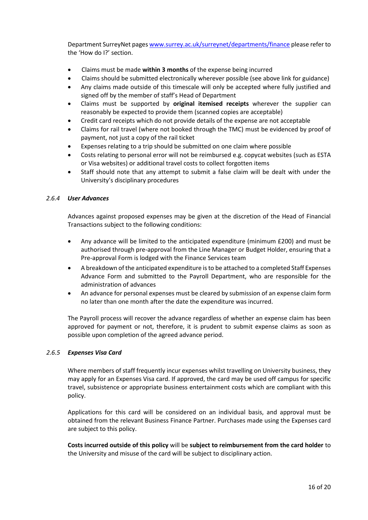Department SurreyNet pages [www.surrey.ac.uk/surreynet/departments/finance](http://www.surrey.ac.uk/surreynet/departments/finance) please refer to the 'How do I?' section.

- Claims must be made **within 3 months** of the expense being incurred
- Claims should be submitted electronically wherever possible (see above link for guidance)
- Any claims made outside of this timescale will only be accepted where fully justified and signed off by the member of staff's Head of Department
- Claims must be supported by **original itemised receipts** wherever the supplier can reasonably be expected to provide them (scanned copies are acceptable)
- Credit card receipts which do not provide details of the expense are not acceptable
- Claims for rail travel (where not booked through the TMC) must be evidenced by proof of payment, not just a copy of the rail ticket
- Expenses relating to a trip should be submitted on one claim where possible
- Costs relating to personal error will not be reimbursed e.g. copycat websites (such as ESTA or Visa websites) or additional travel costs to collect forgotten items
- Staff should note that any attempt to submit a false claim will be dealt with under the University's disciplinary procedures

# <span id="page-15-0"></span> *2.6.4 User Advances*

Advances against proposed expenses may be given at the discretion of the Head of Financial Transactions subject to the following conditions:

- Any advance will be limited to the anticipated expenditure (minimum £200) and must be authorised through pre-approval from the Line Manager or Budget Holder, ensuring that a Pre-approval Form is lodged with the Finance Services team
- A breakdown of the anticipated expenditure is to be attached to a completed Staff Expenses Advance Form and submitted to the Payroll Department, who are responsible for the administration of advances
- An advance for personal expenses must be cleared by submission of an expense claim form no later than one month after the date the expenditure was incurred.

The Payroll process will recover the advance regardless of whether an expense claim has been approved for payment or not, therefore, it is prudent to submit expense claims as soon as possible upon completion of the agreed advance period.

# <span id="page-15-1"></span> *2.6.5 Expenses Visa Card*

Where members of staff frequently incur expenses whilst travelling on University business, they may apply for an Expenses Visa card. If approved, the card may be used off campus for specific travel, subsistence or appropriate business entertainment costs which are compliant with this policy.

Applications for this card will be considered on an individual basis, and approval must be obtained from the relevant Business Finance Partner. Purchases made using the Expenses card are subject to this policy.

<span id="page-15-2"></span>**Costs incurred outside of this policy** will be **subject to reimbursement from the card holder** to the University and misuse of the card will be subject to disciplinary action.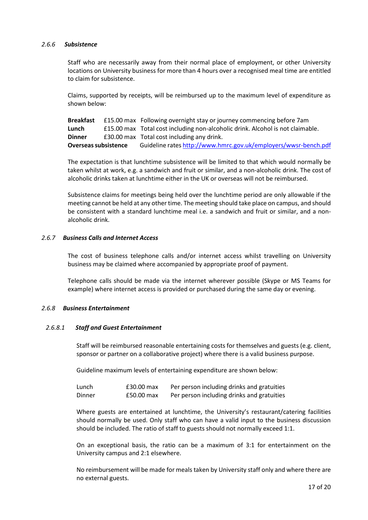### *2.6.6 Subsistence*

Staff who are necessarily away from their normal place of employment, or other University locations on University business for more than 4 hours over a recognised meal time are entitled to claim for subsistence.

Claims, supported by receipts, will be reimbursed up to the maximum level of expenditure as shown below:

**Breakfast** £15.00 max Following overnight stay or journey commencing before 7am **Lunch** £15.00 max Total cost including non-alcoholic drink. Alcohol is not claimable. **Dinner E30.00 max** Total cost including any drink. **Overseas subsistence** Guideline rates <http://www.hmrc.gov.uk/employers/wwsr-bench.pdf>

The expectation is that lunchtime subsistence will be limited to that which would normally be taken whilst at work, e.g. a sandwich and fruit or similar, and a non-alcoholic drink. The cost of alcoholic drinks taken at lunchtime either in the UK or overseas will not be reimbursed.

Subsistence claims for meetings being held over the lunchtime period are only allowable if the meeting cannot be held at any other time. The meeting should take place on campus, and should be consistent with a standard lunchtime meal i.e. a sandwich and fruit or similar, and a nonalcoholic drink.

#### <span id="page-16-0"></span>*2.6.7 Business Calls and Internet Access*

The cost of business telephone calls and/or internet access whilst travelling on University business may be claimed where accompanied by appropriate proof of payment.

Telephone calls should be made via the internet wherever possible (Skype or MS Teams for example) where internet access is provided or purchased during the same day or evening.

# <span id="page-16-1"></span>*2.6.8 Business Entertainment*

# <span id="page-16-2"></span>*2.6.8.1 Staff and Guest Entertainment*

Staff will be reimbursed reasonable entertaining costs for themselves and guests (e.g. client, sponsor or partner on a collaborative project) where there is a valid business purpose.

Guideline maximum levels of entertaining expenditure are shown below:

| Lunch  | £30.00 max | Per person including drinks and gratuities |
|--------|------------|--------------------------------------------|
| Dinner | £50.00 max | Per person including drinks and gratuities |

Where guests are entertained at lunchtime, the University's restaurant/catering facilities should normally be used. Only staff who can have a valid input to the business discussion should be included. The ratio of staff to guests should not normally exceed 1:1.

On an exceptional basis, the ratio can be a maximum of 3:1 for entertainment on the University campus and 2:1 elsewhere.

No reimbursement will be made for meals taken by University staff only and where there are no external guests.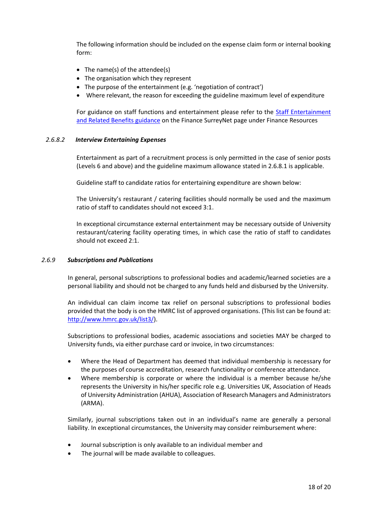The following information should be included on the expense claim form or internal booking form:

- The name(s) of the attendee(s)
- The organisation which they represent
- The purpose of the entertainment (e.g. 'negotiation of contract')
- Where relevant, the reason for exceeding the guideline maximum level of expenditure

For guidance on staff functions and entertainment please refer to the Staff Entertainment [and Related Benefits guidance](https://surreynet.surrey.ac.uk/sites/default/files/2016-12/Staff%20Entertainment%20and%20Related%20Benefits%20guidance.pdf) on the Finance SurreyNet page under Finance Resources

#### <span id="page-17-0"></span>*2.6.8.2 Interview Entertaining Expenses*

Entertainment as part of a recruitment process is only permitted in the case of senior posts (Levels 6 and above) and the guideline maximum allowance stated in 2.6.8.1 is applicable.

Guideline staff to candidate ratios for entertaining expenditure are shown below:

The University's restaurant / catering facilities should normally be used and the maximum ratio of staff to candidates should not exceed 3:1.

In exceptional circumstance external entertainment may be necessary outside of University restaurant/catering facility operating times, in which case the ratio of staff to candidates should not exceed 2:1.

#### <span id="page-17-1"></span>*2.6.9 Subscriptions and Publications*

In general, personal subscriptions to professional bodies and academic/learned societies are a personal liability and should not be charged to any funds held and disbursed by the University.

An individual can claim income tax relief on personal subscriptions to professional bodies provided that the body is on the HMRC list of approved organisations. (This list can be found at: [http://www.hmrc.gov.uk/list3/\)](http://www.hmrc.gov.uk/list3/).

Subscriptions to professional bodies, academic associations and societies MAY be charged to University funds, via either purchase card or invoice, in two circumstances:

- Where the Head of Department has deemed that individual membership is necessary for the purposes of course accreditation, research functionality or conference attendance.
- Where membership is corporate or where the individual is a member because he/she represents the University in his/her specific role e.g. Universities UK, Association of Heads of University Administration (AHUA), Association of Research Managers and Administrators (ARMA).

Similarly, journal subscriptions taken out in an individual's name are generally a personal liability. In exceptional circumstances, the University may consider reimbursement where:

- Journal subscription is only available to an individual member and
- The journal will be made available to colleagues.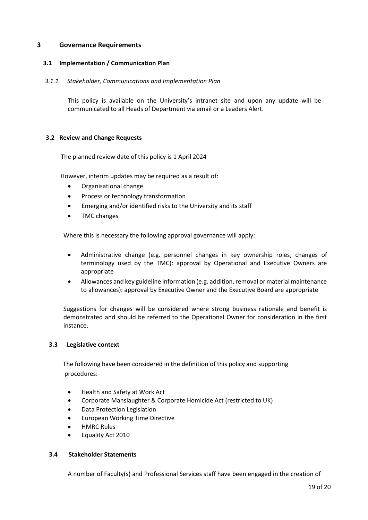# <span id="page-18-0"></span>**3 Governance Requirements**

# <span id="page-18-1"></span> **3.1 Implementation / Communication Plan**

# *3.1.1 Stakeholder, Communications and Implementation Plan*

This policy is available on the University's intranet site and upon any update will be communicated to all Heads of Department via email or a Leaders Alert.

# <span id="page-18-2"></span>**3.2 Review and Change Requests**

The planned review date of this policy is 1 April 2024

However, interim updates may be required as a result of:

- Organisational change
- Process or technology transformation
- Emerging and/or identified risks to the University and its staff
- TMC changes

Where this is necessary the following approval governance will apply:

- Administrative change (e.g. personnel changes in key ownership roles, changes of terminology used by the TMC): approval by Operational and Executive Owners are appropriate
- Allowances and key guideline information (e.g. addition, removal or material maintenance to allowances): approval by Executive Owner and the Executive Board are appropriate

Suggestions for changes will be considered where strong business rationale and benefit is demonstrated and should be referred to the Operational Owner for consideration in the first instance.

# <span id="page-18-3"></span>**3.3 Legislative context**

The following have been considered in the definition of this policy and supporting procedures:

- Health and Safety at Work Act
- Corporate Manslaughter & Corporate Homicide Act (restricted to UK)
- Data Protection Legislation
- European Working Time Directive
- HMRC Rules
- Equality Act 2010

# <span id="page-18-4"></span> **3.4 Stakeholder Statements**

A number of Faculty(s) and Professional Services staff have been engaged in the creation of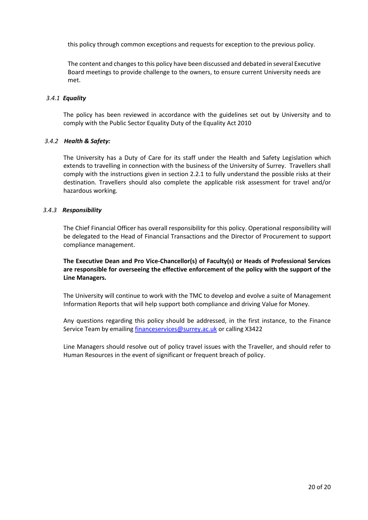this policy through common exceptions and requests for exception to the previous policy.

The content and changes to this policy have been discussed and debated in several Executive Board meetings to provide challenge to the owners, to ensure current University needs are met.

# <span id="page-19-0"></span>*3.4.1 Equality*

The policy has been reviewed in accordance with the guidelines set out by University and to comply with the Public Sector Equality Duty of the Equality Act 2010

# <span id="page-19-1"></span> *3.4.2 Health & Safety:*

The University has a Duty of Care for its staff under the Health and Safety Legislation which extends to travelling in connection with the business of the University of Surrey. Travellers shall comply with the instructions given in section 2.2.1 to fully understand the possible risks at their destination. Travellers should also complete the applicable risk assessment for travel and/or hazardous working.

# <span id="page-19-2"></span>*3.4.3 Responsibility*

The Chief Financial Officer has overall responsibility for this policy. Operational responsibility will be delegated to the Head of Financial Transactions and the Director of Procurement to support compliance management.

**The Executive Dean and Pro Vice-Chancellor(s) of Faculty(s) or Heads of Professional Services are responsible for overseeing the effective enforcement of the policy with the support of the Line Managers.** 

The University will continue to work with the TMC to develop and evolve a suite of Management Information Reports that will help support both compliance and driving Value for Money.

Any questions regarding this policy should be addressed, in the first instance, to the Finance Service Team by emailing [financeservices@surrey.ac.uk](mailto:financeservices@surrey.ac.uk) or calling X3422

Line Managers should resolve out of policy travel issues with the Traveller, and should refer to Human Resources in the event of significant or frequent breach of policy.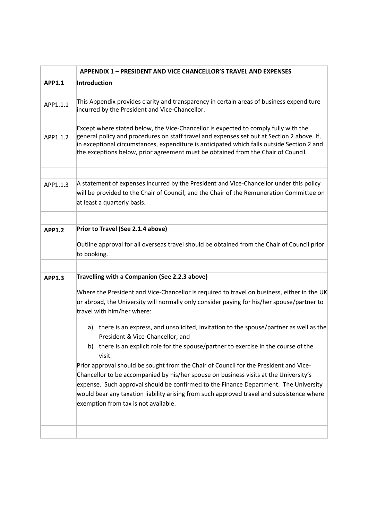|               | <b>APPENDIX 1 - PRESIDENT AND VICE CHANCELLOR'S TRAVEL AND EXPENSES</b>                                                                                                                                                                                                                                                                                                                                     |
|---------------|-------------------------------------------------------------------------------------------------------------------------------------------------------------------------------------------------------------------------------------------------------------------------------------------------------------------------------------------------------------------------------------------------------------|
| <b>APP1.1</b> | Introduction                                                                                                                                                                                                                                                                                                                                                                                                |
| APP1.1.1      | This Appendix provides clarity and transparency in certain areas of business expenditure<br>incurred by the President and Vice-Chancellor.                                                                                                                                                                                                                                                                  |
| APP1.1.2      | Except where stated below, the Vice-Chancellor is expected to comply fully with the<br>general policy and procedures on staff travel and expenses set out at Section 2 above. If,<br>in exceptional circumstances, expenditure is anticipated which falls outside Section 2 and<br>the exceptions below, prior agreement must be obtained from the Chair of Council.                                        |
| APP1.1.3      | A statement of expenses incurred by the President and Vice-Chancellor under this policy<br>will be provided to the Chair of Council, and the Chair of the Remuneration Committee on<br>at least a quarterly basis.                                                                                                                                                                                          |
| <b>APP1.2</b> | Prior to Travel (See 2.1.4 above)                                                                                                                                                                                                                                                                                                                                                                           |
|               | Outline approval for all overseas travel should be obtained from the Chair of Council prior<br>to booking.                                                                                                                                                                                                                                                                                                  |
| <b>APP1.3</b> | Travelling with a Companion (See 2.2.3 above)                                                                                                                                                                                                                                                                                                                                                               |
|               | Where the President and Vice-Chancellor is required to travel on business, either in the UK<br>or abroad, the University will normally only consider paying for his/her spouse/partner to<br>travel with him/her where:                                                                                                                                                                                     |
|               | there is an express, and unsolicited, invitation to the spouse/partner as well as the<br>a)<br>President & Vice-Chancellor; and                                                                                                                                                                                                                                                                             |
|               | there is an explicit role for the spouse/partner to exercise in the course of the<br>b)<br>visit.                                                                                                                                                                                                                                                                                                           |
|               | Prior approval should be sought from the Chair of Council for the President and Vice-<br>Chancellor to be accompanied by his/her spouse on business visits at the University's<br>expense. Such approval should be confirmed to the Finance Department. The University<br>would bear any taxation liability arising from such approved travel and subsistence where<br>exemption from tax is not available. |
|               |                                                                                                                                                                                                                                                                                                                                                                                                             |